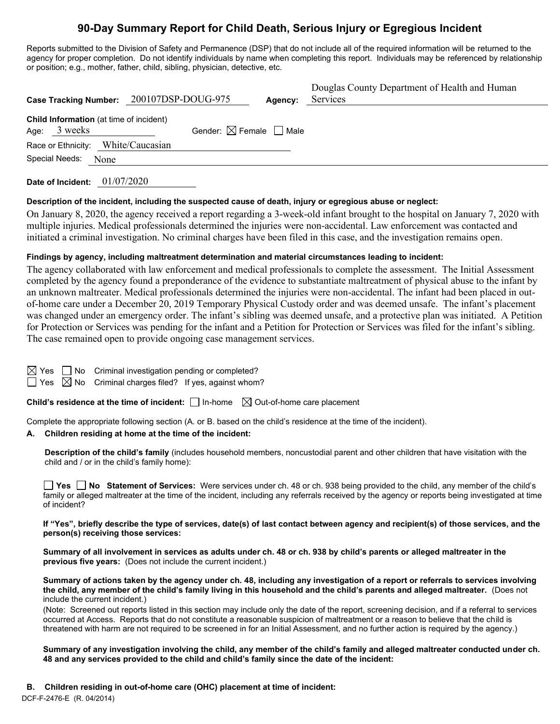# **90-Day Summary Report for Child Death, Serious Injury or Egregious Incident**

Reports submitted to the Division of Safety and Permanence (DSP) that do not include all of the required information will be returned to the agency for proper completion. Do not identify individuals by name when completing this report. Individuals may be referenced by relationship or position; e.g., mother, father, child, sibling, physician, detective, etc.

|      | Case Tracking Number: 200107DSP-DOUG-975                  |                                        | Agency: | Douglas County Department of Health and Human<br>Services |
|------|-----------------------------------------------------------|----------------------------------------|---------|-----------------------------------------------------------|
| Age: | <b>Child Information</b> (at time of incident)<br>3 weeks | Gender: $\boxtimes$ Female $\Box$ Male |         |                                                           |
|      | Race or Ethnicity: White/Caucasian                        |                                        |         |                                                           |
|      | Special Needs:<br>None                                    |                                        |         |                                                           |
|      |                                                           |                                        |         |                                                           |

**Date of Incident:** 01/07/2020

#### **Description of the incident, including the suspected cause of death, injury or egregious abuse or neglect:**

On January 8, 2020, the agency received a report regarding a 3-week-old infant brought to the hospital on January 7, 2020 with multiple injuries. Medical professionals determined the injuries were non-accidental. Law enforcement was contacted and initiated a criminal investigation. No criminal charges have been filed in this case, and the investigation remains open.

## **Findings by agency, including maltreatment determination and material circumstances leading to incident:**

The agency collaborated with law enforcement and medical professionals to complete the assessment. The Initial Assessment completed by the agency found a preponderance of the evidence to substantiate maltreatment of physical abuse to the infant by an unknown maltreater. Medical professionals determined the injuries were non-accidental. The infant had been placed in outof-home care under a December 20, 2019 Temporary Physical Custody order and was deemed unsafe. The infant's placement was changed under an emergency order. The infant's sibling was deemed unsafe, and a protective plan was initiated. A Petition for Protection or Services was pending for the infant and a Petition for Protection or Services was filed for the infant's sibling. The case remained open to provide ongoing case management services.

| PS |  |
|----|--|
|    |  |

No Criminal investigation pending or completed?

 $\Box$  Yes  $\boxtimes$  No Criminal charges filed? If yes, against whom?

**Child's residence at the time of incident:**  $\Box$  In-home  $\Box$  Out-of-home care placement

Complete the appropriate following section (A. or B. based on the child's residence at the time of the incident).

## **A. Children residing at home at the time of the incident:**

**Description of the child's family** (includes household members, noncustodial parent and other children that have visitation with the child and / or in the child's family home):

**Yes No Statement of Services:** Were services under ch. 48 or ch. 938 being provided to the child, any member of the child's family or alleged maltreater at the time of the incident, including any referrals received by the agency or reports being investigated at time of incident?

**If "Yes", briefly describe the type of services, date(s) of last contact between agency and recipient(s) of those services, and the person(s) receiving those services:**

**Summary of all involvement in services as adults under ch. 48 or ch. 938 by child's parents or alleged maltreater in the previous five years:** (Does not include the current incident.)

**Summary of actions taken by the agency under ch. 48, including any investigation of a report or referrals to services involving the child, any member of the child's family living in this household and the child's parents and alleged maltreater.** (Does not include the current incident.)

(Note: Screened out reports listed in this section may include only the date of the report, screening decision, and if a referral to services occurred at Access. Reports that do not constitute a reasonable suspicion of maltreatment or a reason to believe that the child is threatened with harm are not required to be screened in for an Initial Assessment, and no further action is required by the agency.)

**Summary of any investigation involving the child, any member of the child's family and alleged maltreater conducted under ch. 48 and any services provided to the child and child's family since the date of the incident:**